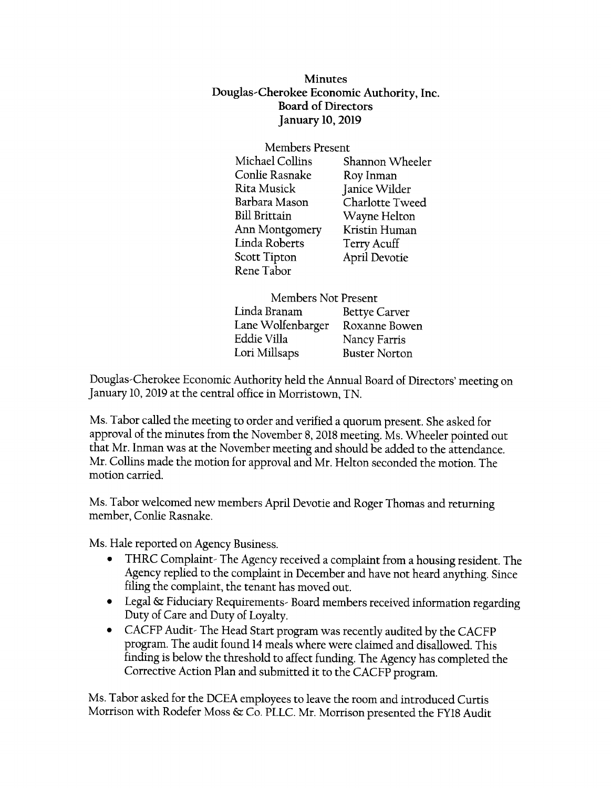**Minutes** Douglas-Cherokee Economic Authority, tnc. Board of Directors January 10,2019

> Members Present<br>Michael Collins Sl Shannon Wheeler<br>Roy Inman Conlie Rasnake Rita Musick Barbara Mason Bill Brittain Linda Roberts Scott Tipton Rene Tabor Janice Wilder Charlotte Tweed Wayne Helton Terry Acuff April Devotie Ann Montgomery Kristin Human

Members Not Present Linda Branam Betye Carver Lane Wolfenbarger Roxanne Bowen Eddie Villa Nancy Farris Lori Millsaps Buster Norton

Douglas-Cherokee Economic Authoriry held the Annual Board of Directors'meering on January 10,2019 at the central office in Morristown, TN.

Ms. Tabor called the meeting to order and verified a quorum present. She asked for approval of the minutes from the November 8, 2018 meeting. Ms. Wheeler pointed out that Mr. Inman was at the November meeting and should be added to the attendance. Mr. Collins made the motion for approval and Mr. Helton seconded the motion. The motion carried.

Ms. Tabor welcomed new members April Devotie and Roger Thomas and rerurning member, Conlie Rasnake.

Ms. Hale reported on Agency Business.

- o THRC Complaint- The Agency received a complaint from a housing resident. The Agency replied to the complaint in December and have not heard anyrhing. Since filing the complaint, the tenant has moved out.
- o Legal {s Fiduciary Requirements- Board members received information regarding Duty of Care and Dury of Loyalty.
- CACFP Audit-The Head Start program was recently audited by the CACFP program. The audit found 14 meals where were claimed and disallowed. This finding is below the threshold to affect funding. The Agency has completed the Corrective Action Plan and submitted ir to the CACFP program.

Ms. Tabor asked for the DCEA employees to leave the room and introduced Curtis Morrison with Rodefer Moss & Co. PLLC. Mr. Morrison presented the FY18 Audit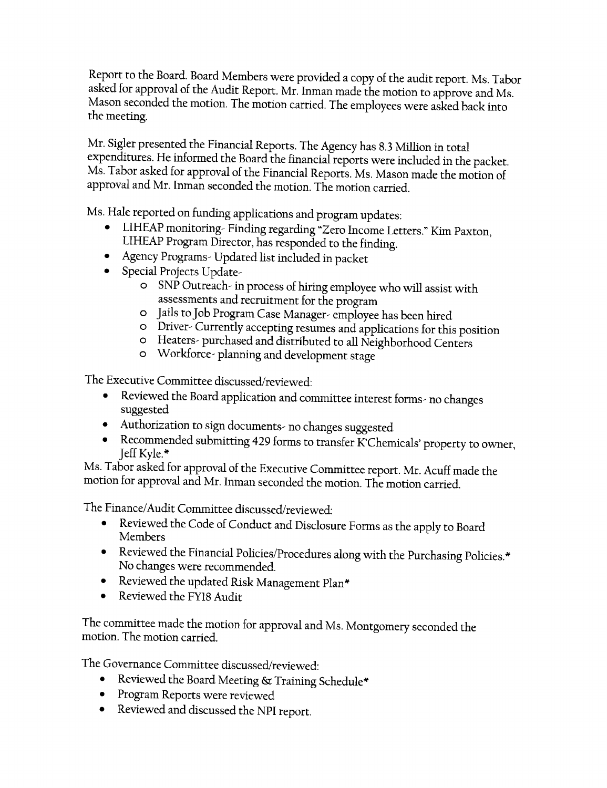Report to the Board. Board Members were provided a copy of the audit report. Ms. Tabor asked for approval of the Audit Report. Mr. Inman made the motion to approve and Ms. Mason seconded the motion. The motion carried. The employees were asked back into the meeting.

Mr. Sigler presented the Financial Reports. The Agency has 8.3 Million in total expenditures. He informed the Board the financial reports were included in the packet. Ms. Tabor asked for approval of the Financial Reports. Ms. Mason made the motion of approval and Mr. Inman seconded the motion. The motion carried.

Ms. Hale reported on funding applications and program updates:

- LIHEAP monitoring- Finding regarding "Zero Income Letters." Kim Paxton, LIHEAP Program Director, has responded to the finding.
- . Agency Programs- Updated list included in packet
- . Special Projects Updare
	- o SNP Outreach- in process of hiring employee who will assist with assessments and recruitment for the program
	- o Jails to Job Program Case Manager- employee has been hired
	- o Driver- Currently accepting resumes and applicarions for this position
	- o Heaters- purchased and distributed to all Neighborhood Centirs
	- o Workforce- planning and development stage

The Executive Committee discussed/reviewed:

- o Reviewed the Board application and committee interest forms- no changes suggested
- o Authorization to sign documents- no changes suggested
- o Recommended submitting 429 forms to transfer K'Chemicals'property to owner, Jeff Kyle."

Ms. Tabor asked for approval of the Executive Committee reporr. Mr. Acuff made the motion for approval and Mr. Inman seconded the motion. The motion carried.

The Finance/Audir Committee discussed/reviewed :

- o Reviewed the Code of Conduct and Disclosure Forms as the apply to Board Members
- o Reviewed the Financial Policies/Procedures along with the purchasing policies.\* No changes were recommended.
- Reviewed the updated Risk Management Plan\*
- Reviewed the FY18 Audit

The committee made the motion for approval and Ms. Montgomery seconded the motion. The motion carried.

The Governance Committee discussed/reviewed :

- o Reviewed the Board Meeting & Training Schedule\*
- o Program Reports were reviewed
- o Reviewed and discussed the NpI reporr.